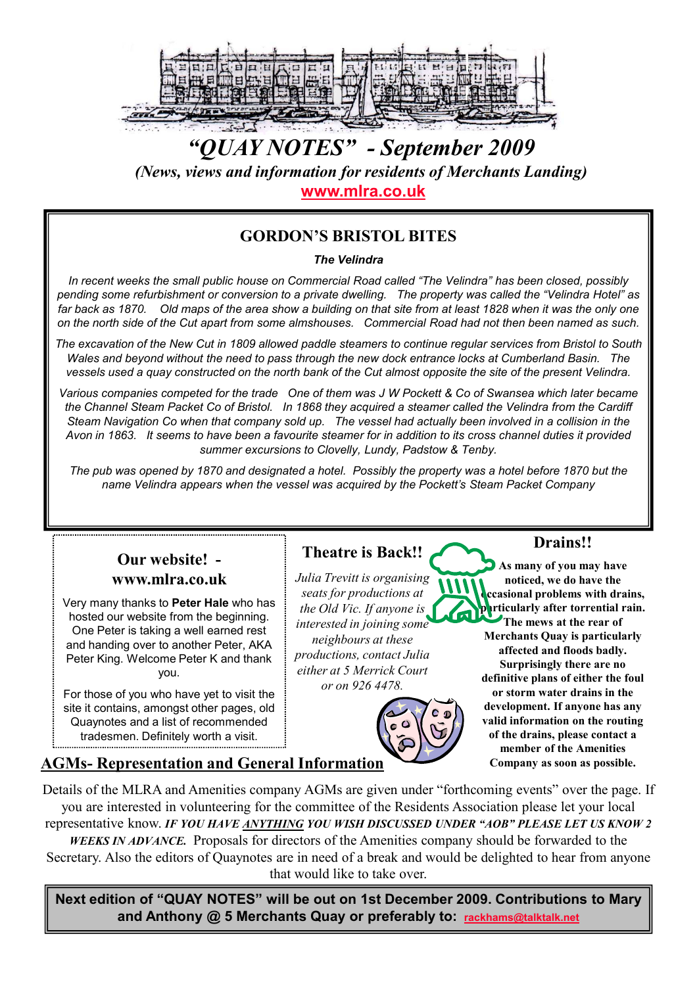

# "QUAY NOTES" - September 2009 (News, views and information for residents of Merchants Landing) www.mlra.co.uk

### GORDON'S BRISTOL BITES

#### The Velindra

In recent weeks the small public house on Commercial Road called "The Velindra" has been closed, possibly pending some refurbishment or conversion to a private dwelling. The property was called the "Velindra Hotel" as far back as 1870. Old maps of the area show a building on that site from at least 1828 when it was the only one on the north side of the Cut apart from some almshouses. Commercial Road had not then been named as such.

The excavation of the New Cut in 1809 allowed paddle steamers to continue regular services from Bristol to South Wales and beyond without the need to pass through the new dock entrance locks at Cumberland Basin. The vessels used a quay constructed on the north bank of the Cut almost opposite the site of the present Velindra.

Various companies competed for the trade One of them was J W Pockett & Co of Swansea which later became the Channel Steam Packet Co of Bristol. In 1868 they acquired a steamer called the Velindra from the Cardiff Steam Navigation Co when that company sold up. The vessel had actually been involved in a collision in the Avon in 1863. It seems to have been a favourite steamer for in addition to its cross channel duties it provided summer excursions to Clovelly, Lundy, Padstow & Tenby.

The pub was opened by 1870 and designated a hotel. Possibly the property was a hotel before 1870 but the name Velindra appears when the vessel was acquired by the Pockett's Steam Packet Company

#### Our website! www.mlra.co.uk

Very many thanks to Peter Hale who has hosted our website from the beginning. One Peter is taking a well earned rest and handing over to another Peter, AKA Peter King. Welcome Peter K and thank you.

For those of you who have yet to visit the site it contains, amongst other pages, old Quaynotes and a list of recommended tradesmen. Definitely worth a visit.

# Theatre is Back!!

Julia Trevitt is organising seats for productions at the Old Vic. If anyone is interested in joining some neighbours at these productions, contact Julia either at 5 Merrick Court or on 926 4478.



#### Drains!!

As many of you may have noticed, we do have the ccasional problems with drains, **harticularly after torrential rain.** The mews at the rear of Merchants Quay is particularly affected and floods badly. Surprisingly there are no definitive plans of either the foul or storm water drains in the development. If anyone has any valid information on the routing of the drains, please contact a member of the Amenities

# AGMs- Representation and General Information Company as soon as possible.

Details of the MLRA and Amenities company AGMs are given under "forthcoming events" over the page. If you are interested in volunteering for the committee of the Residents Association please let your local representative know. IF YOU HAVE ANYTHING YOU WISH DISCUSSED UNDER "AOB" PLEASE LET US KNOW 2

WEEKS IN ADVANCE. Proposals for directors of the Amenities company should be forwarded to the Secretary. Also the editors of Quaynotes are in need of a break and would be delighted to hear from anyone that would like to take over.

Next edition of "QUAY NOTES" will be out on 1st December 2009. Contributions to Mary and Anthony @ 5 Merchants Quay or preferably to: rackhams@talktalk.net